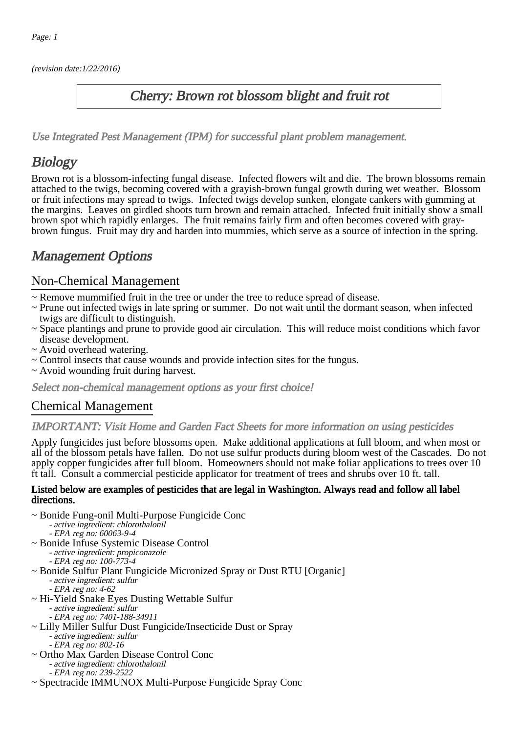(revision date:1/22/2016)

## Cherry: Brown rot blossom blight and fruit rot

[Use Integrated Pest Management \(IPM\) for successful plant problem management.](http://pep.wsu.edu/Home_Garden/H_G_Pesticide_info/urban_Integrated_Pest_Managmen/)

# **Biology**

Brown rot is a blossom-infecting fungal disease. Infected flowers wilt and die. The brown blossoms remain attached to the twigs, becoming covered with a grayish-brown fungal growth during wet weather. Blossom or fruit infections may spread to twigs. Infected twigs develop sunken, elongate cankers with gumming at the margins. Leaves on girdled shoots turn brown and remain attached. Infected fruit initially show a small brown spot which rapidly enlarges. The fruit remains fairly firm and often becomes covered with graybrown fungus. Fruit may dry and harden into mummies, which serve as a source of infection in the spring.

# Management Options

## Non-Chemical Management

- ~ Remove mummified fruit in the tree or under the tree to reduce spread of disease.
- ~ Prune out infected twigs in late spring or summer. Do not wait until the dormant season, when infected twigs are difficult to distinguish.
- ~ Space plantings and prune to provide good air circulation. This will reduce moist conditions which favor disease development.
- ~ Avoid overhead watering.
- ~ Control insects that cause wounds and provide infection sites for the fungus.
- ~ Avoid wounding fruit during harvest.

Select non-chemical management options as your first choice!

## Chemical Management

#### IMPORTANT: [Visit Home and Garden Fact Sheets for more information on using pesticides](http://pep.wsu.edu/Home_Garden/H_G_Pesticide_info/)

Apply fungicides just before blossoms open. Make additional applications at full bloom, and when most or all of the blossom petals have fallen. Do not use sulfur products during bloom west of the Cascades. Do not apply copper fungicides after full bloom. Homeowners should not make foliar applications to trees over 10 ft tall. Consult a commercial pesticide applicator for treatment of trees and shrubs over 10 ft. tall.

#### Listed below are examples of pesticides that are legal in Washington. Always read and follow all label directions.

- ~ Bonide Fung-onil Multi-Purpose Fungicide Conc
	- active ingredient: chlorothalonil
- EPA reg no: 60063-9-4 ~ Bonide Infuse Systemic Disease Control
	- active ingredient: propiconazole
	- - EPA reg no: 100-773-4
- ~ Bonide Sulfur Plant Fungicide Micronized Spray or Dust RTU [Organic]
	- active ingredient: sulfur
	- EPA reg no: 4-62
- ~ Hi-Yield Snake Eyes Dusting Wettable Sulfur
	- active ingredient: sulfur
	- EPA reg no: 7401-188-34911
- ~ Lilly Miller Sulfur Dust Fungicide/Insecticide Dust or Spray - active ingredient: sulfur - EPA reg no: 802-16
- ~ Ortho Max Garden Disease Control Conc - active ingredient: chlorothalonil - EPA reg no: 239-2522
- ~ Spectracide IMMUNOX Multi-Purpose Fungicide Spray Conc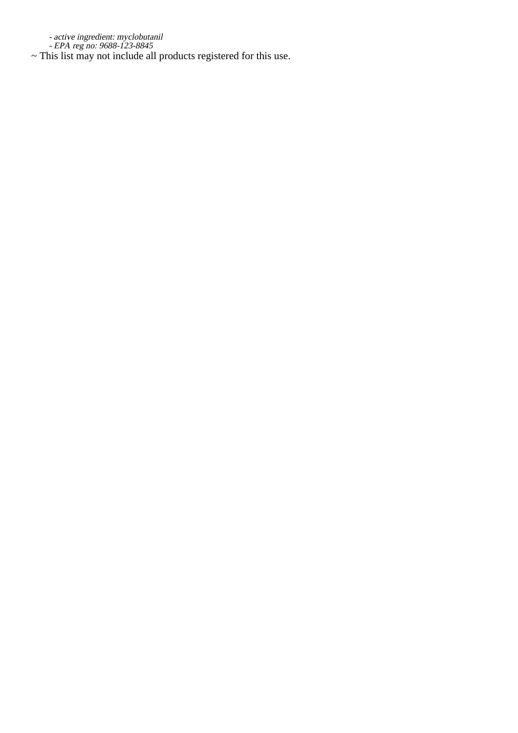active ingredient: myclobutanil

-<br>-<br>Thi ~ EPA reg no: 9688-123-8845 This list may not include all products registered for this use.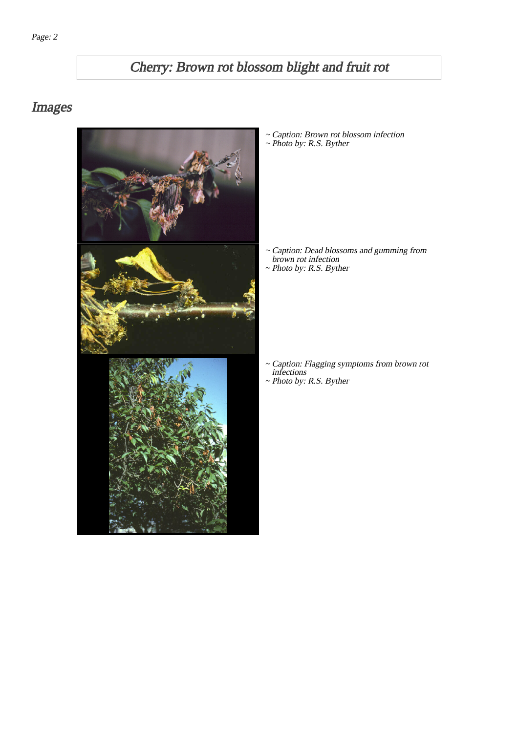# Cherry: Brown rot blossom blight and fruit rot

# Images



~ Caption: Brown rot blossom infection ~ Photo by: R.S. Byther

- Caption: Dead blossoms and gumming from brown rot infection ~
- ~ Photo by: R.S. Byther

- Caption: Flagging symptoms from brown rot infections ~
- ~ Photo by: R.S. Byther